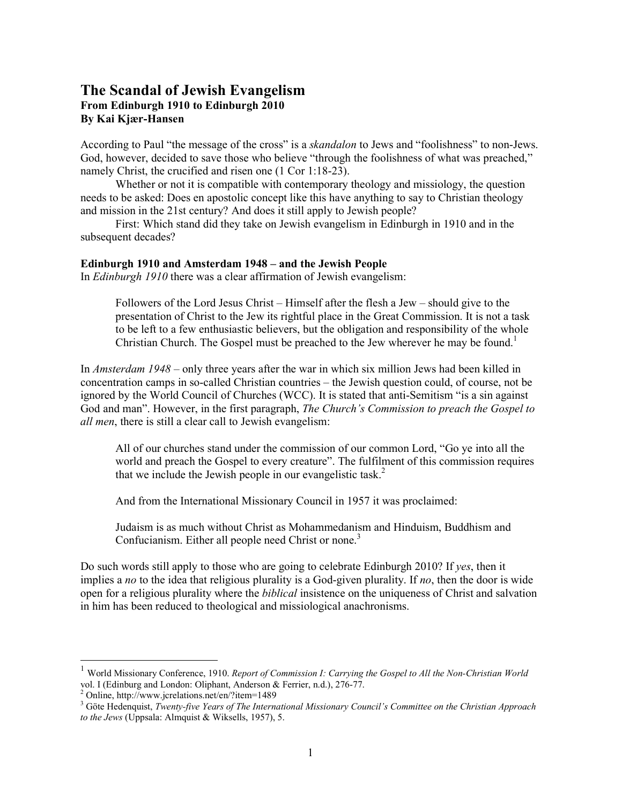# **The Scandal of Jewish Evangelism From Edinburgh 1910 to Edinburgh 2010 By Kai Kjær-Hansen**

According to Paul "the message of the cross" is a *skandalon* to Jews and "foolishness" to non-Jews. God, however, decided to save those who believe "through the foolishness of what was preached," namely Christ, the crucified and risen one (1 Cor 1:18-23).

 Whether or not it is compatible with contemporary theology and missiology, the question needs to be asked: Does en apostolic concept like this have anything to say to Christian theology and mission in the 21st century? And does it still apply to Jewish people?

 First: Which stand did they take on Jewish evangelism in Edinburgh in 1910 and in the subsequent decades?

# **Edinburgh 1910 and Amsterdam 1948 – and the Jewish People**

In *Edinburgh 1910* there was a clear affirmation of Jewish evangelism:

Followers of the Lord Jesus Christ – Himself after the flesh a Jew – should give to the presentation of Christ to the Jew its rightful place in the Great Commission. It is not a task to be left to a few enthusiastic believers, but the obligation and responsibility of the whole Christian Church. The Gospel must be preached to the Jew wherever he may be found.<sup>1</sup>

In *Amsterdam 1948* – only three years after the war in which six million Jews had been killed in concentration camps in so-called Christian countries – the Jewish question could, of course, not be ignored by the World Council of Churches (WCC). It is stated that anti-Semitism "is a sin against God and man". However, in the first paragraph, *The Church's Commission to preach the Gospel to all men*, there is still a clear call to Jewish evangelism:

All of our churches stand under the commission of our common Lord, "Go ye into all the world and preach the Gospel to every creature". The fulfilment of this commission requires that we include the Jewish people in our evangelistic task.<sup>2</sup>

And from the International Missionary Council in 1957 it was proclaimed:

Judaism is as much without Christ as Mohammedanism and Hinduism, Buddhism and Confucianism. Either all people need Christ or none.<sup>3</sup>

Do such words still apply to those who are going to celebrate Edinburgh 2010? If *yes*, then it implies a *no* to the idea that religious plurality is a God-given plurality. If *no*, then the door is wide open for a religious plurality where the *biblical* insistence on the uniqueness of Christ and salvation in him has been reduced to theological and missiological anachronisms.

<sup>1</sup> World Missionary Conference, 1910. *Report of Commission I: Carrying the Gospel to All the Non-Christian World*  vol. I (Edinburg and London: Oliphant, Anderson & Ferrier, n.d.), 276-77.

<sup>2</sup> Online, http://www.jcrelations.net/en/?item=1489

<sup>3</sup> Göte Hedenquist, *Twenty-five Years of The International Missionary Council's Committee on the Christian Approach to the Jews* (Uppsala: Almquist & Wiksells, 1957), 5.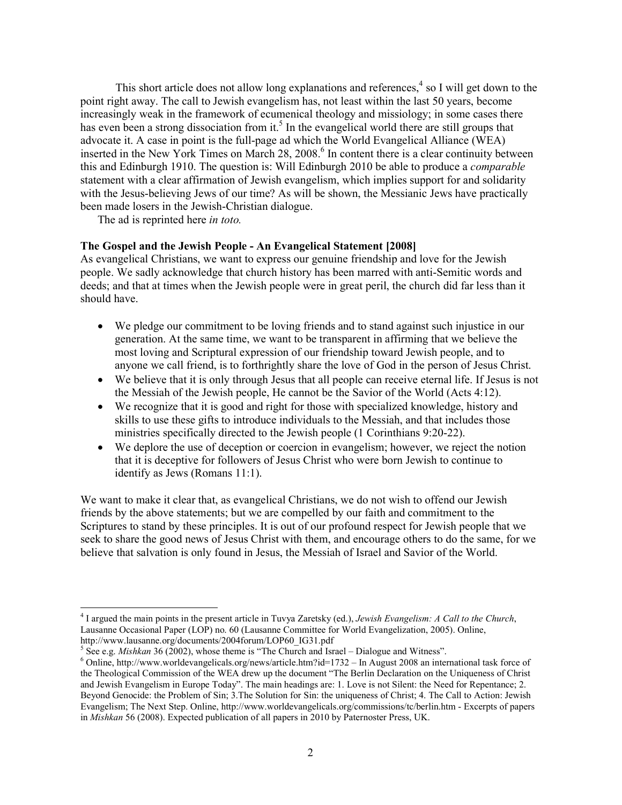This short article does not allow long explanations and references, $4$  so I will get down to the point right away. The call to Jewish evangelism has, not least within the last 50 years, become increasingly weak in the framework of ecumenical theology and missiology; in some cases there has even been a strong dissociation from it.<sup>5</sup> In the evangelical world there are still groups that advocate it. A case in point is the full-page ad which the World Evangelical Alliance (WEA) inserted in the New York Times on March 28, 2008.<sup>6</sup> In content there is a clear continuity between this and Edinburgh 1910. The question is: Will Edinburgh 2010 be able to produce a *comparable* statement with a clear affirmation of Jewish evangelism, which implies support for and solidarity with the Jesus-believing Jews of our time? As will be shown, the Messianic Jews have practically been made losers in the Jewish-Christian dialogue.

The ad is reprinted here *in toto.* 

# **The Gospel and the Jewish People - An Evangelical Statement [2008]**

As evangelical Christians, we want to express our genuine friendship and love for the Jewish people. We sadly acknowledge that church history has been marred with anti-Semitic words and deeds; and that at times when the Jewish people were in great peril, the church did far less than it should have.

- We pledge our commitment to be loving friends and to stand against such injustice in our generation. At the same time, we want to be transparent in affirming that we believe the most loving and Scriptural expression of our friendship toward Jewish people, and to anyone we call friend, is to forthrightly share the love of God in the person of Jesus Christ.
- We believe that it is only through Jesus that all people can receive eternal life. If Jesus is not the Messiah of the Jewish people, He cannot be the Savior of the World (Acts 4:12).
- We recognize that it is good and right for those with specialized knowledge, history and skills to use these gifts to introduce individuals to the Messiah, and that includes those ministries specifically directed to the Jewish people (1 Corinthians 9:20-22).
- We deplore the use of deception or coercion in evangelism; however, we reject the notion that it is deceptive for followers of Jesus Christ who were born Jewish to continue to identify as Jews (Romans 11:1).

We want to make it clear that, as evangelical Christians, we do not wish to offend our Jewish friends by the above statements; but we are compelled by our faith and commitment to the Scriptures to stand by these principles. It is out of our profound respect for Jewish people that we seek to share the good news of Jesus Christ with them, and encourage others to do the same, for we believe that salvation is only found in Jesus, the Messiah of Israel and Savior of the World.

<sup>4</sup> I argued the main points in the present article in Tuvya Zaretsky (ed.), *Jewish Evangelism: A Call to the Church*, Lausanne Occasional Paper (LOP) no. 60 (Lausanne Committee for World Evangelization, 2005). Online,

http://www.lausanne.org/documents/2004forum/LOP60\_IG31.pdf<br>
<sup>5</sup> See e.g. *Mishkan* 36 (2002), whose theme is "The Church and Israel – Dialogue and Witness".

<sup>&</sup>lt;sup>6</sup> Online, http://www.worldevangelicals.org/news/article.htm?id=1732 – In August 2008 an international task force of the Theological Commission of the WEA drew up the document "The Berlin Declaration on the Uniqueness of Christ and Jewish Evangelism in Europe Today". The main headings are: 1. Love is not Silent: the Need for Repentance; 2. Beyond Genocide: the Problem of Sin; 3.The Solution for Sin: the uniqueness of Christ; 4. The Call to Action: Jewish Evangelism; The Next Step. Online, http://www.worldevangelicals.org/commissions/tc/berlin.htm - Excerpts of papers in *Mishkan* 56 (2008). Expected publication of all papers in 2010 by Paternoster Press, UK.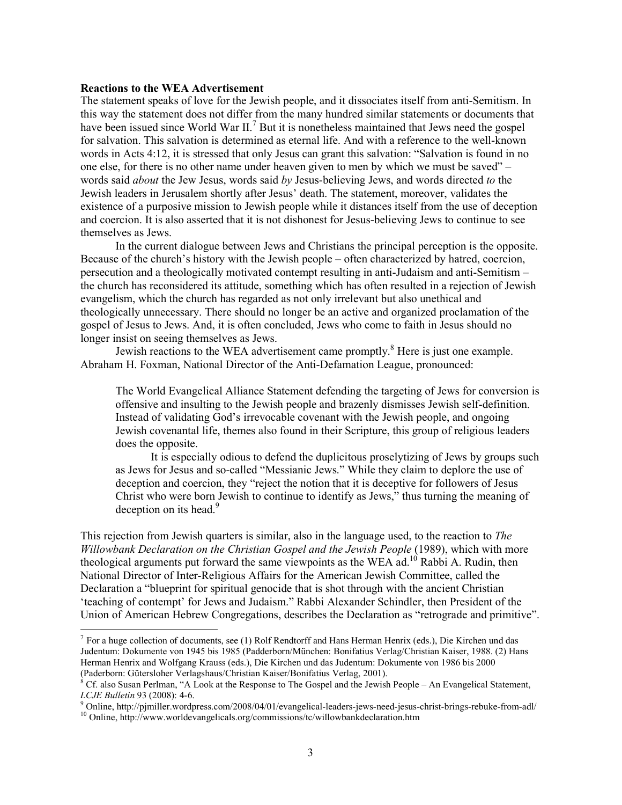#### **Reactions to the WEA Advertisement**

The statement speaks of love for the Jewish people, and it dissociates itself from anti-Semitism. In this way the statement does not differ from the many hundred similar statements or documents that have been issued since World War II.<sup>7</sup> But it is nonetheless maintained that Jews need the gospel for salvation. This salvation is determined as eternal life. And with a reference to the well-known words in Acts 4:12, it is stressed that only Jesus can grant this salvation: "Salvation is found in no one else, for there is no other name under heaven given to men by which we must be saved" – words said *about* the Jew Jesus, words said *by* Jesus-believing Jews, and words directed *to* the Jewish leaders in Jerusalem shortly after Jesus' death. The statement, moreover, validates the existence of a purposive mission to Jewish people while it distances itself from the use of deception and coercion. It is also asserted that it is not dishonest for Jesus-believing Jews to continue to see themselves as Jews.

 In the current dialogue between Jews and Christians the principal perception is the opposite. Because of the church's history with the Jewish people – often characterized by hatred, coercion, persecution and a theologically motivated contempt resulting in anti-Judaism and anti-Semitism – the church has reconsidered its attitude, something which has often resulted in a rejection of Jewish evangelism, which the church has regarded as not only irrelevant but also unethical and theologically unnecessary. There should no longer be an active and organized proclamation of the gospel of Jesus to Jews. And, it is often concluded, Jews who come to faith in Jesus should no longer insist on seeing themselves as Jews.

Jewish reactions to the WEA advertisement came promptly.<sup>8</sup> Here is just one example. Abraham H. Foxman, National Director of the Anti-Defamation League, pronounced:

The World Evangelical Alliance Statement defending the targeting of Jews for conversion is offensive and insulting to the Jewish people and brazenly dismisses Jewish self-definition. Instead of validating God's irrevocable covenant with the Jewish people, and ongoing Jewish covenantal life, themes also found in their Scripture, this group of religious leaders does the opposite.

 It is especially odious to defend the duplicitous proselytizing of Jews by groups such as Jews for Jesus and so-called "Messianic Jews." While they claim to deplore the use of deception and coercion, they "reject the notion that it is deceptive for followers of Jesus Christ who were born Jewish to continue to identify as Jews," thus turning the meaning of deception on its head.<sup>9</sup>

This rejection from Jewish quarters is similar, also in the language used, to the reaction to *The Willowbank Declaration on the Christian Gospel and the Jewish People* (1989), which with more theological arguments put forward the same viewpoints as the WEA  $ad<sup>10</sup>$  Rabbi A. Rudin, then National Director of Inter-Religious Affairs for the American Jewish Committee, called the Declaration a "blueprint for spiritual genocide that is shot through with the ancient Christian 'teaching of contempt' for Jews and Judaism." Rabbi Alexander Schindler, then President of the Union of American Hebrew Congregations, describes the Declaration as "retrograde and primitive".

<sup>&</sup>lt;sup>7</sup> For a huge collection of documents, see (1) Rolf Rendtorff and Hans Herman Henrix (eds.), Die Kirchen und das Judentum: Dokumente von 1945 bis 1985 (Padderborn/München: Bonifatius Verlag/Christian Kaiser, 1988. (2) Hans Herman Henrix and Wolfgang Krauss (eds.), Die Kirchen und das Judentum: Dokumente von 1986 bis 2000 (Paderborn: Gütersloher Verlagshaus/Christian Kaiser/Bonifatius Verlag, 2001).

<sup>8</sup> Cf. also Susan Perlman, "A Look at the Response to The Gospel and the Jewish People – An Evangelical Statement, *LCJE Bulletin* 93 (2008): 4-6.<br><sup>9</sup> Online, http://pjmiller.wordpress.com/2008/04/01/evangelical-leaders-jews-need-jesus-christ-brings-rebuke-from-adl/

<sup>&</sup>lt;sup>10</sup> Online, http://www.worldevangelicals.org/commissions/tc/willowbankdeclaration.htm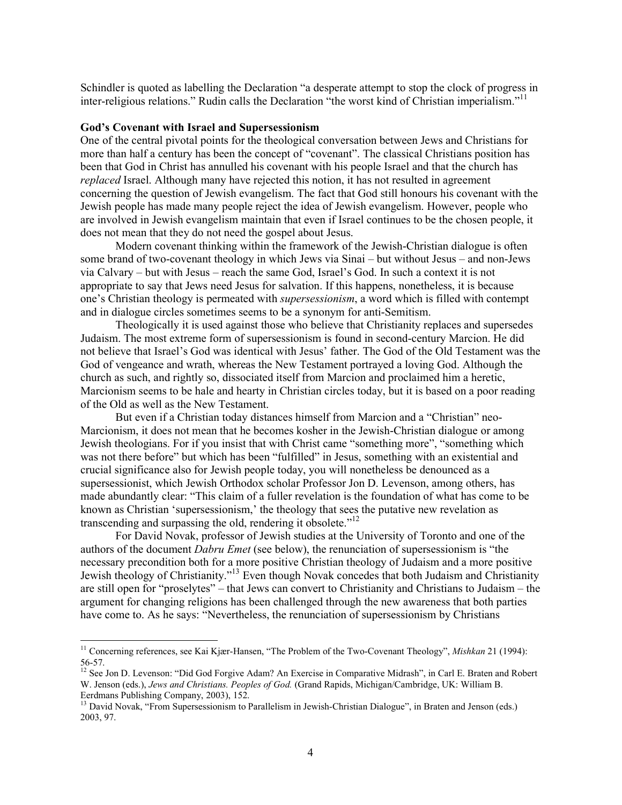Schindler is quoted as labelling the Declaration "a desperate attempt to stop the clock of progress in inter-religious relations." Rudin calls the Declaration "the worst kind of Christian imperialism."<sup>11</sup>

#### **God's Covenant with Israel and Supersessionism**

One of the central pivotal points for the theological conversation between Jews and Christians for more than half a century has been the concept of "covenant". The classical Christians position has been that God in Christ has annulled his covenant with his people Israel and that the church has *replaced* Israel. Although many have rejected this notion, it has not resulted in agreement concerning the question of Jewish evangelism. The fact that God still honours his covenant with the Jewish people has made many people reject the idea of Jewish evangelism. However, people who are involved in Jewish evangelism maintain that even if Israel continues to be the chosen people, it does not mean that they do not need the gospel about Jesus.

 Modern covenant thinking within the framework of the Jewish-Christian dialogue is often some brand of two-covenant theology in which Jews via Sinai – but without Jesus – and non-Jews via Calvary – but with Jesus – reach the same God, Israel's God. In such a context it is not appropriate to say that Jews need Jesus for salvation. If this happens, nonetheless, it is because one's Christian theology is permeated with *supersessionism*, a word which is filled with contempt and in dialogue circles sometimes seems to be a synonym for anti-Semitism.

 Theologically it is used against those who believe that Christianity replaces and supersedes Judaism. The most extreme form of supersessionism is found in second-century Marcion. He did not believe that Israel's God was identical with Jesus' father. The God of the Old Testament was the God of vengeance and wrath, whereas the New Testament portrayed a loving God. Although the church as such, and rightly so, dissociated itself from Marcion and proclaimed him a heretic, Marcionism seems to be hale and hearty in Christian circles today, but it is based on a poor reading of the Old as well as the New Testament.

 But even if a Christian today distances himself from Marcion and a "Christian" neo-Marcionism, it does not mean that he becomes kosher in the Jewish-Christian dialogue or among Jewish theologians. For if you insist that with Christ came "something more", "something which was not there before" but which has been "fulfilled" in Jesus, something with an existential and crucial significance also for Jewish people today, you will nonetheless be denounced as a supersessionist, which Jewish Orthodox scholar Professor Jon D. Levenson, among others, has made abundantly clear: "This claim of a fuller revelation is the foundation of what has come to be known as Christian 'supersessionism,' the theology that sees the putative new revelation as transcending and surpassing the old, rendering it obsolete."<sup>12</sup>

For David Novak, professor of Jewish studies at the University of Toronto and one of the authors of the document *Dabru Emet* (see below), the renunciation of supersessionism is "the necessary precondition both for a more positive Christian theology of Judaism and a more positive Jewish theology of Christianity."13 Even though Novak concedes that both Judaism and Christianity are still open for "proselytes" – that Jews can convert to Christianity and Christians to Judaism – the argument for changing religions has been challenged through the new awareness that both parties have come to. As he says: "Nevertheless, the renunciation of supersessionism by Christians

<sup>11</sup> Concerning references, see Kai Kjær-Hansen, "The Problem of the Two-Covenant Theology", *Mishkan* 21 (1994): 56-57.

<sup>&</sup>lt;sup>12</sup> See Jon D. Levenson: "Did God Forgive Adam? An Exercise in Comparative Midrash", in Carl E. Braten and Robert W. Jenson (eds.), *Jews and Christians. Peoples of God.* (Grand Rapids, Michigan/Cambridge, UK: William B. Eerdmans Publishing Company, 2003), 152.

<sup>&</sup>lt;sup>13</sup> David Novak, "From Supersessionism to Parallelism in Jewish-Christian Dialogue", in Braten and Jenson (eds.) 2003, 97.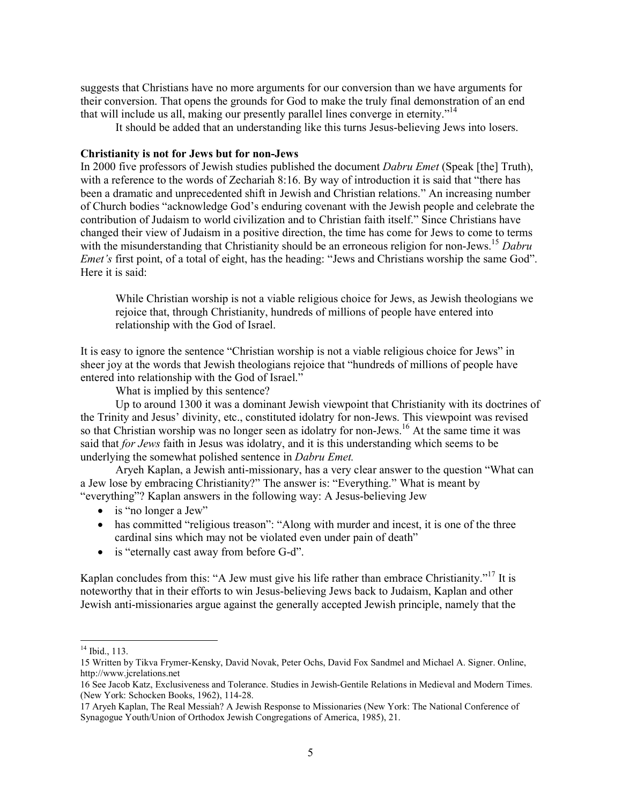suggests that Christians have no more arguments for our conversion than we have arguments for their conversion. That opens the grounds for God to make the truly final demonstration of an end that will include us all, making our presently parallel lines converge in eternity."<sup>14</sup>

It should be added that an understanding like this turns Jesus-believing Jews into losers.

### **Christianity is not for Jews but for non-Jews**

In 2000 five professors of Jewish studies published the document *Dabru Emet* (Speak [the] Truth), with a reference to the words of Zechariah 8:16. By way of introduction it is said that "there has been a dramatic and unprecedented shift in Jewish and Christian relations." An increasing number of Church bodies "acknowledge God's enduring covenant with the Jewish people and celebrate the contribution of Judaism to world civilization and to Christian faith itself." Since Christians have changed their view of Judaism in a positive direction, the time has come for Jews to come to terms with the misunderstanding that Christianity should be an erroneous religion for non-Jews.<sup>15</sup> *Dabru Emet's* first point, of a total of eight, has the heading: "Jews and Christians worship the same God". Here it is said:

While Christian worship is not a viable religious choice for Jews, as Jewish theologians we rejoice that, through Christianity, hundreds of millions of people have entered into relationship with the God of Israel.

It is easy to ignore the sentence "Christian worship is not a viable religious choice for Jews" in sheer joy at the words that Jewish theologians rejoice that "hundreds of millions of people have entered into relationship with the God of Israel."

What is implied by this sentence?

 Up to around 1300 it was a dominant Jewish viewpoint that Christianity with its doctrines of the Trinity and Jesus' divinity, etc., constituted idolatry for non-Jews. This viewpoint was revised so that Christian worship was no longer seen as idolatry for non-Jews.<sup>16</sup> At the same time it was said that *for Jews* faith in Jesus was idolatry, and it is this understanding which seems to be underlying the somewhat polished sentence in *Dabru Emet.* 

Aryeh Kaplan, a Jewish anti-missionary, has a very clear answer to the question "What can a Jew lose by embracing Christianity?" The answer is: "Everything." What is meant by "everything"? Kaplan answers in the following way: A Jesus-believing Jew

- is "no longer a Jew"
- has committed "religious treason": "Along with murder and incest, it is one of the three cardinal sins which may not be violated even under pain of death"
- is "eternally cast away from before G-d".

Kaplan concludes from this: "A Jew must give his life rather than embrace Christianity."<sup>17</sup> It is noteworthy that in their efforts to win Jesus-believing Jews back to Judaism, Kaplan and other Jewish anti-missionaries argue against the generally accepted Jewish principle, namely that the

<sup>&</sup>lt;sup>14</sup> Ibid., 113.

<sup>15</sup> Written by Tikva Frymer-Kensky, David Novak, Peter Ochs, David Fox Sandmel and Michael A. Signer. Online, http://www.jcrelations.net

<sup>16</sup> See Jacob Katz, Exclusiveness and Tolerance. Studies in Jewish-Gentile Relations in Medieval and Modern Times. (New York: Schocken Books, 1962), 114-28.

<sup>17</sup> Aryeh Kaplan, The Real Messiah? A Jewish Response to Missionaries (New York: The National Conference of Synagogue Youth/Union of Orthodox Jewish Congregations of America, 1985), 21.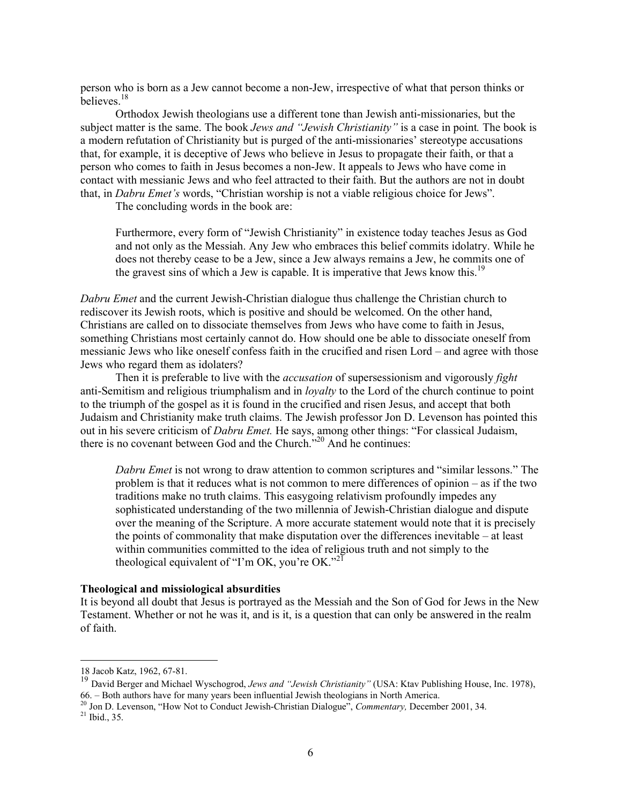person who is born as a Jew cannot become a non-Jew, irrespective of what that person thinks or believes<sup>18</sup>

Orthodox Jewish theologians use a different tone than Jewish anti-missionaries, but the subject matter is the same. The book *Jews and "Jewish Christianity"* is a case in point*.* The book is a modern refutation of Christianity but is purged of the anti-missionaries' stereotype accusations that, for example, it is deceptive of Jews who believe in Jesus to propagate their faith, or that a person who comes to faith in Jesus becomes a non-Jew. It appeals to Jews who have come in contact with messianic Jews and who feel attracted to their faith. But the authors are not in doubt that, in *Dabru Emet's* words, "Christian worship is not a viable religious choice for Jews".

The concluding words in the book are:

Furthermore, every form of "Jewish Christianity" in existence today teaches Jesus as God and not only as the Messiah. Any Jew who embraces this belief commits idolatry. While he does not thereby cease to be a Jew, since a Jew always remains a Jew, he commits one of the gravest sins of which a Jew is capable. It is imperative that Jews know this.<sup>19</sup>

*Dabru Emet* and the current Jewish-Christian dialogue thus challenge the Christian church to rediscover its Jewish roots, which is positive and should be welcomed. On the other hand, Christians are called on to dissociate themselves from Jews who have come to faith in Jesus, something Christians most certainly cannot do. How should one be able to dissociate oneself from messianic Jews who like oneself confess faith in the crucified and risen Lord – and agree with those Jews who regard them as idolaters?

 Then it is preferable to live with the *accusation* of supersessionism and vigorously *fight* anti-Semitism and religious triumphalism and in *loyalty* to the Lord of the church continue to point to the triumph of the gospel as it is found in the crucified and risen Jesus, and accept that both Judaism and Christianity make truth claims. The Jewish professor Jon D. Levenson has pointed this out in his severe criticism of *Dabru Emet.* He says, among other things: "For classical Judaism, there is no covenant between God and the Church."20 And he continues:

*Dabru Emet* is not wrong to draw attention to common scriptures and "similar lessons." The problem is that it reduces what is not common to mere differences of opinion – as if the two traditions make no truth claims. This easygoing relativism profoundly impedes any sophisticated understanding of the two millennia of Jewish-Christian dialogue and dispute over the meaning of the Scripture. A more accurate statement would note that it is precisely the points of commonality that make disputation over the differences inevitable – at least within communities committed to the idea of religious truth and not simply to the theological equivalent of "I'm OK, you're OK."<sup>21</sup>

# **Theological and missiological absurdities**

It is beyond all doubt that Jesus is portrayed as the Messiah and the Son of God for Jews in the New Testament. Whether or not he was it, and is it, is a question that can only be answered in the realm of faith.

<sup>18</sup> Jacob Katz, 1962, 67-81.

<sup>19</sup> David Berger and Michael Wyschogrod, *Jews and "Jewish Christianity"* (USA: Ktav Publishing House, Inc. 1978), 66. – Both authors have for many years been influential Jewish theologians in North America.

<sup>&</sup>lt;sup>20</sup> Jon D. Levenson, "How Not to Conduct Jewish-Christian Dialogue", *Commentary*, December 2001, 34.<br><sup>21</sup> Ibid., 35.

<sup>6</sup>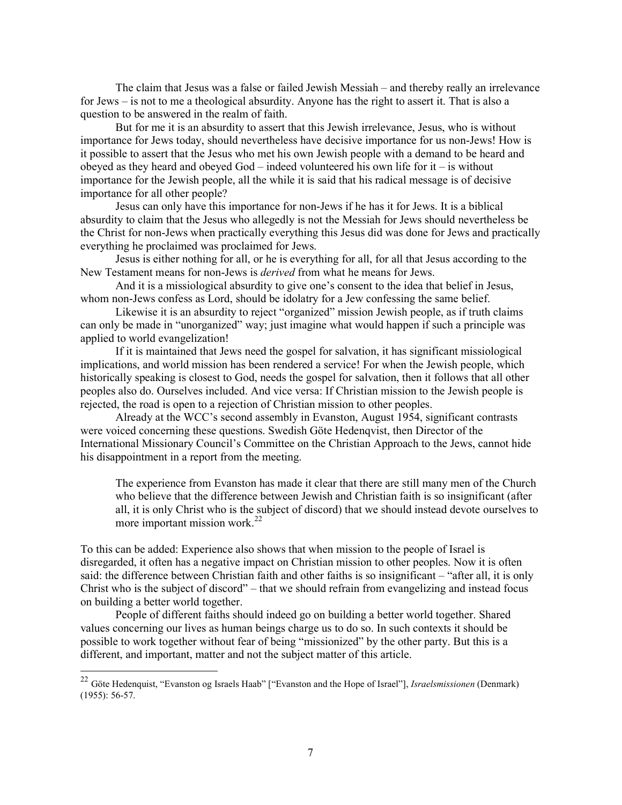The claim that Jesus was a false or failed Jewish Messiah – and thereby really an irrelevance for Jews – is not to me a theological absurdity. Anyone has the right to assert it. That is also a question to be answered in the realm of faith.

 But for me it is an absurdity to assert that this Jewish irrelevance, Jesus, who is without importance for Jews today, should nevertheless have decisive importance for us non-Jews! How is it possible to assert that the Jesus who met his own Jewish people with a demand to be heard and obeyed as they heard and obeyed  $God$  – indeed volunteered his own life for it – is without importance for the Jewish people, all the while it is said that his radical message is of decisive importance for all other people?

 Jesus can only have this importance for non-Jews if he has it for Jews. It is a biblical absurdity to claim that the Jesus who allegedly is not the Messiah for Jews should nevertheless be the Christ for non-Jews when practically everything this Jesus did was done for Jews and practically everything he proclaimed was proclaimed for Jews.

 Jesus is either nothing for all, or he is everything for all, for all that Jesus according to the New Testament means for non-Jews is *derived* from what he means for Jews.

 And it is a missiological absurdity to give one's consent to the idea that belief in Jesus, whom non-Jews confess as Lord, should be idolatry for a Jew confessing the same belief.

Likewise it is an absurdity to reject "organized" mission Jewish people, as if truth claims can only be made in "unorganized" way; just imagine what would happen if such a principle was applied to world evangelization!

 If it is maintained that Jews need the gospel for salvation, it has significant missiological implications, and world mission has been rendered a service! For when the Jewish people, which historically speaking is closest to God, needs the gospel for salvation, then it follows that all other peoples also do. Ourselves included. And vice versa: If Christian mission to the Jewish people is rejected, the road is open to a rejection of Christian mission to other peoples.

 Already at the WCC's second assembly in Evanston, August 1954, significant contrasts were voiced concerning these questions. Swedish Göte Hedenqvist, then Director of the International Missionary Council's Committee on the Christian Approach to the Jews, cannot hide his disappointment in a report from the meeting.

The experience from Evanston has made it clear that there are still many men of the Church who believe that the difference between Jewish and Christian faith is so insignificant (after all, it is only Christ who is the subject of discord) that we should instead devote ourselves to more important mission work.<sup>22</sup>

To this can be added: Experience also shows that when mission to the people of Israel is disregarded, it often has a negative impact on Christian mission to other peoples. Now it is often said: the difference between Christian faith and other faiths is so insignificant – "after all, it is only Christ who is the subject of discord" – that we should refrain from evangelizing and instead focus on building a better world together.

People of different faiths should indeed go on building a better world together. Shared values concerning our lives as human beings charge us to do so. In such contexts it should be possible to work together without fear of being "missionized" by the other party. But this is a different, and important, matter and not the subject matter of this article.

<sup>22</sup> Göte Hedenquist, "Evanston og Israels Haab" ["Evanston and the Hope of Israel"], *Israelsmissionen* (Denmark) (1955): 56-57.